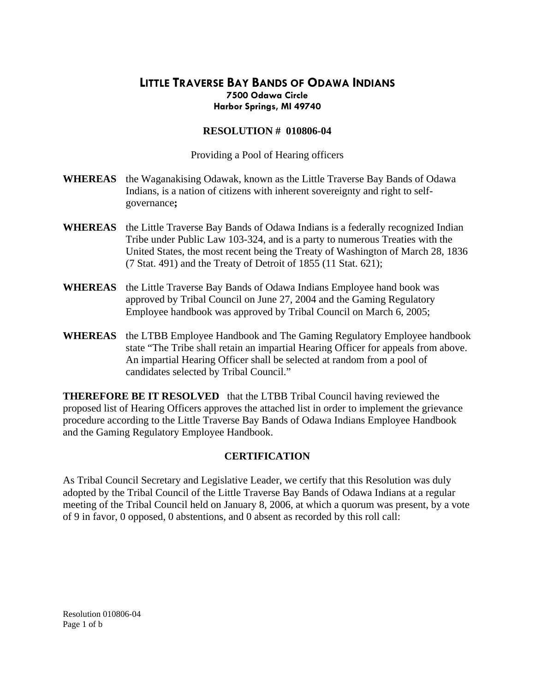## **LITTLE TRAVERSE BAY BANDS OF ODAWA INDIANS 7500 Odawa Circle Harbor Springs, MI 49740**

## **RESOLUTION # 010806-04**

Providing a Pool of Hearing officers

- **WHEREAS** the Waganakising Odawak, known as the Little Traverse Bay Bands of Odawa Indians, is a nation of citizens with inherent sovereignty and right to selfgovernance**;**
- **WHEREAS** the Little Traverse Bay Bands of Odawa Indians is a federally recognized Indian Tribe under Public Law 103-324, and is a party to numerous Treaties with the United States, the most recent being the Treaty of Washington of March 28, 1836 (7 Stat. 491) and the Treaty of Detroit of 1855 (11 Stat. 621);
- **WHEREAS** the Little Traverse Bay Bands of Odawa Indians Employee hand book was approved by Tribal Council on June 27, 2004 and the Gaming Regulatory Employee handbook was approved by Tribal Council on March 6, 2005;
- **WHEREAS** the LTBB Employee Handbook and The Gaming Regulatory Employee handbook state "The Tribe shall retain an impartial Hearing Officer for appeals from above. An impartial Hearing Officer shall be selected at random from a pool of candidates selected by Tribal Council."

**THEREFORE BE IT RESOLVED** that the LTBB Tribal Council having reviewed the proposed list of Hearing Officers approves the attached list in order to implement the grievance procedure according to the Little Traverse Bay Bands of Odawa Indians Employee Handbook and the Gaming Regulatory Employee Handbook.

## **CERTIFICATION**

As Tribal Council Secretary and Legislative Leader, we certify that this Resolution was duly adopted by the Tribal Council of the Little Traverse Bay Bands of Odawa Indians at a regular meeting of the Tribal Council held on January 8, 2006, at which a quorum was present, by a vote of 9 in favor, 0 opposed, 0 abstentions, and 0 absent as recorded by this roll call:

Resolution 010806-04 Page 1 of b